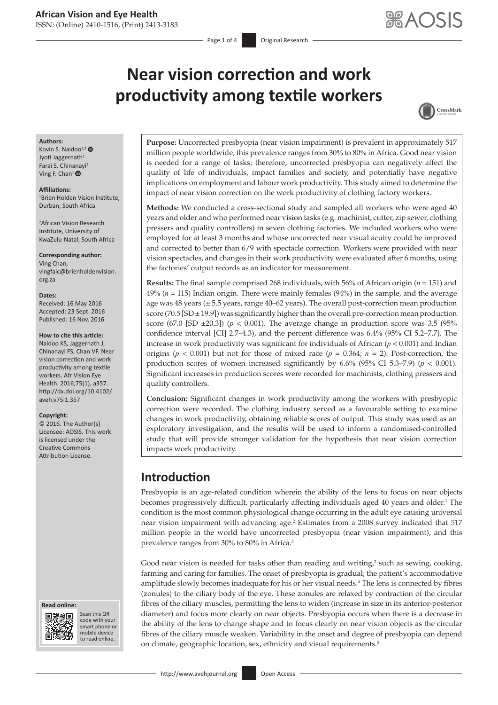# **Near vision correction and work productivity among textile workers**



#### **Authors:**

Kovin S. Naidoo<sup>1,[2](http://orcid.org/0000-0001-8261-9779)</sup> Jyoti Jaggernath<sup>2</sup> Farai S. Chinanavi<sup>2</sup> Ving F. Chan<sup>[1](http://orcid.org/0000-0003-2261-0478)</sup>  $\bullet$ 

#### **Affiliations:**

1 Brien Holden Vision Institute, Durban, South Africa

2 African Vision Research Institute, University of KwaZulu-Natal, South Africa

**Corresponding author:** Ving Chan, [vingfaic@brienholdenvision.](mailto:vingfaic@brienholdenvision.org.za) [org.za](mailto:vingfaic@brienholdenvision.org.za)

#### **Dates:**

Received: 16 May 2016 Accepted: 23 Sept. 2016 Published: 16 Nov. 2016

#### **How to cite this article:**

Naidoo KS, Jaggernath J, Chinanayi FS, Chan VF. Near vision correction and work productivity among textile workers. Afr Vision Eye Health. 2016;75(1), a357. [http://dx.doi.org/10.4102/](http://dx.doi.org/10.4102/aveh.v75i1.357) [aveh.v75i1.357](http://dx.doi.org/10.4102/aveh.v75i1.357)

#### **Copyright:**

© 2016. The Author(s) Licensee: AOSIS. This work is licensed under the Creative Commons Attribution License.





Scan this QR code with your Scan this QR<br>code with your<br>smart phone or<br>mobile device mobile device to read online. to read online.

**Purpose:** Uncorrected presbyopia (near vision impairment) is prevalent in approximately 517 million people worldwide; this prevalence ranges from 30% to 80% in Africa. Good near vision is needed for a range of tasks; therefore, uncorrected presbyopia can negatively affect the quality of life of individuals, impact families and society, and potentially have negative implications on employment and labour work productivity. This study aimed to determine the impact of near vision correction on the work productivity of clothing factory workers.

**Methods:** We conducted a cross-sectional study and sampled all workers who were aged 40 years and older and who performed near vision tasks (e.g. machinist, cutter, zip sewer, clothing pressers and quality controllers) in seven clothing factories. We included workers who were employed for at least 3 months and whose uncorrected near visual acuity could be improved and corrected to better than 6/9 with spectacle correction. Workers were provided with near vision spectacles, and changes in their work productivity were evaluated after 6 months, using the factories' output records as an indicator for measurement.

**Results:** The final sample comprised 268 individuals, with 56% of African origin (*n* = 151) and 49% (*n* = 115) Indian origin. There were mainly females (94%) in the sample, and the average age was 48 years  $(\pm 5.5$  years, range 40–62 years). The overall post-correction mean production score (70.5 [SD  $\pm$  19.9]) was significantly higher than the overall pre-correction mean production score (67.0 [SD  $\pm$ 20.3]) ( $p < 0.001$ ). The average change in production score was 3.5 (95%) confidence interval [CI] 2.7–4.3), and the percent difference was 6.4% (95% CI 5.2–7.7). The increase in work productivity was significant for individuals of African (*p* < 0.001) and Indian origins ( $p < 0.001$ ) but not for those of mixed race ( $p = 0.364$ ;  $n = 2$ ). Post-correction, the production scores of women increased significantly by  $6.6\%$  (95% CI 5.3–7.9) ( $p < 0.001$ ). Significant increases in production scores were recorded for machinists, clothing pressers and quality controllers.

**Conclusion:** Significant changes in work productivity among the workers with presbyopic correction were recorded. The clothing industry served as a favourable setting to examine changes in work productivity, obtaining reliable scores of output. This study was used as an exploratory investigation, and the results will be used to inform a randomised-controlled study that will provide stronger validation for the hypothesis that near vision correction impacts work productivity.

# **Introduction**

Presbyopia is an age-related condition wherein the ability of the lens to focus on near objects becomes progressively difficult, particularly affecting individuals aged 40 years and older.<sup>1</sup> The condition is the most common physiological change occurring in the adult eye causing universal near vision impairment with advancing age.<sup>2</sup> Estimates from a 2008 survey indicated that 517 million people in the world have uncorrected presbyopia (near vision impairment), and this prevalence ranges from 30% to 80% in Africa.3

Good near vision is needed for tasks other than reading and writing, $\lambda^2$  such as sewing, cooking, farming and caring for families. The onset of presbyopia is gradual; the patient's accommodative amplitude slowly becomes inadequate for his or her visual needs.<sup>4</sup> The lens is connected by fibres (zonules) to the ciliary body of the eye. These zonules are relaxed by contraction of the circular fibres of the ciliary muscles, permitting the lens to widen (increase in size in its anterior-posterior diameter) and focus more clearly on near objects. Presbyopia occurs when there is a decrease in the ability of the lens to change shape and to focus clearly on near vision objects as the circular fibres of the ciliary muscle weaken. Variability in the onset and degree of presbyopia can depend on climate, geographic location, sex, ethnicity and visual requirements.<sup>5</sup>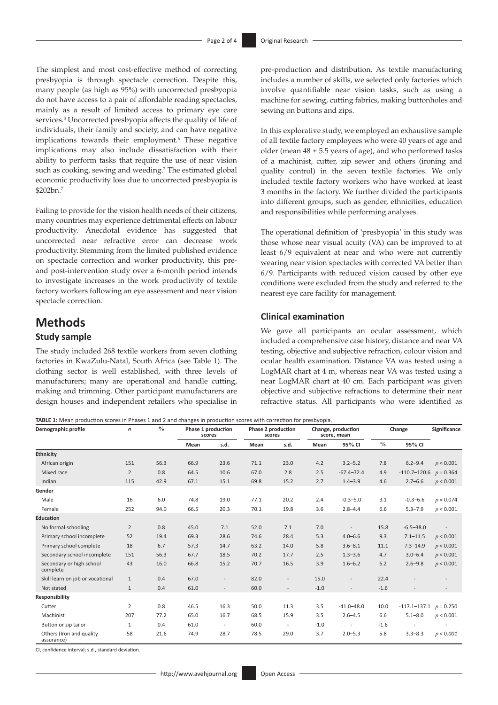The simplest and most cost-effective method of correcting presbyopia is through spectacle correction. Despite this, many people (as high as 95%) with uncorrected presbyopia do not have access to a pair of affordable reading spectacles, mainly as a result of limited access to primary eye care services.<sup>3</sup> Uncorrected presbyopia affects the quality of life of individuals, their family and society, and can have negative implications towards their employment.<sup>6</sup> These negative implications may also include dissatisfaction with their ability to perform tasks that require the use of near vision such as cooking, sewing and weeding.<sup>2</sup> The estimated global economic productivity loss due to uncorrected presbyopia is \$202bn.7

Failing to provide for the vision health needs of their citizens, many countries may experience detrimental effects on labour productivity. Anecdotal evidence has suggested that uncorrected near refractive error can decrease work productivity. Stemming from the limited published evidence on spectacle correction and worker productivity, this preand post-intervention study over a 6-month period intends to investigate increases in the work productivity of textile factory workers following an eye assessment and near vision spectacle correction.

# **Methods**

## **Study sample**

The study included 268 textile workers from seven clothing factories in KwaZulu-Natal, South Africa (see Table 1). The clothing sector is well established, with three levels of manufacturers; many are operational and handle cutting, making and trimming. Other participant manufacturers are design houses and independent retailers who specialise in

pre-production and distribution. As textile manufacturing includes a number of skills, we selected only factories which involve quantifiable near vision tasks, such as using a machine for sewing, cutting fabrics, making buttonholes and sewing on buttons and zips.

In this explorative study, we employed an exhaustive sample of all textile factory employees who were 40 years of age and older (mean  $48 \pm 5.5$  years of age), and who performed tasks of a machinist, cutter, zip sewer and others (ironing and quality control) in the seven textile factories. We only included textile factory workers who have worked at least 3 months in the factory. We further divided the participants into different groups, such as gender, ethnicities, education and responsibilities while performing analyses.

The operational definition of 'presbyopia' in this study was those whose near visual acuity (VA) can be improved to at least 6/9 equivalent at near and who were not currently wearing near vision spectacles with corrected VA better than 6/9. Participants with reduced vision caused by other eye conditions were excluded from the study and referred to the nearest eye care facility for management.

### **Clinical examination**

We gave all participants an ocular assessment, which included a comprehensive case history, distance and near VA testing, objective and subjective refraction, colour vision and ocular health examination. Distance VA was tested using a LogMAR chart at 4 m, whereas near VA was tested using a near LogMAR chart at 40 cm. Each participant was given objective and subjective refractions to determine their near refractive status. All participants who were identified as

**TABLE 1:** Mean production scores in Phases 1 and 2 and changes in production scores with correction for presbyopia.

| Demographic profile                    | $\boldsymbol{n}$ | $\%$ | Phase 1 production<br>scores |                          | Phase 2 production<br>scores |                          | Change, production<br>score, mean |                | Change        |                              | Significance |
|----------------------------------------|------------------|------|------------------------------|--------------------------|------------------------------|--------------------------|-----------------------------------|----------------|---------------|------------------------------|--------------|
|                                        |                  |      | Mean                         | s.d.                     | Mean                         | s.d.                     | Mean                              | 95% CI         | $\frac{0}{0}$ | 95% CI                       |              |
| <b>Ethnicity</b>                       |                  |      |                              |                          |                              |                          |                                   |                |               |                              |              |
| African origin                         | 151              | 56.3 | 66.9                         | 23.6                     | 71.1                         | 23.0                     | 4.2                               | $3.2 - 5.2$    | 7.8           | $6.2 - 9.4$                  | p < 0.001    |
| Mixed race                             | $\overline{2}$   | 0.8  | 64.5                         | 10.6                     | 67.0                         | 2.8                      | 2.5                               | $-67.4 - 72.4$ | 4.9           | $-110.7 - 120.6$ $p = 0.364$ |              |
| Indian                                 | 115              | 42.9 | 67.1                         | 15.1                     | 69.8                         | 15.2                     | 2.7                               | $1.4 - 3.9$    | 4.6           | $2.7 - 6.6$                  | p < 0.001    |
| Gender                                 |                  |      |                              |                          |                              |                          |                                   |                |               |                              |              |
| Male                                   | 16               | 6.0  | 74.8                         | 19.0                     | 77.1                         | 20.2                     | 2.4                               | $-0.3 - 5.0$   | 3.1           | $-0.3 - 6.6$                 | $p = 0.074$  |
| Female                                 | 252              | 94.0 | 66.5                         | 20.3                     | 70.1                         | 19.8                     | 3.6                               | $2.8 - 4.4$    | 6.6           | $5.3 - 7.9$                  | p < 0.001    |
| <b>Education</b>                       |                  |      |                              |                          |                              |                          |                                   |                |               |                              |              |
| No formal schooling                    | 2                | 0.8  | 45.0                         | 7.1                      | 52.0                         | 7.1                      | 7.0                               |                | 15.8          | $-6.5 - 38.0$                |              |
| Primary school incomplete              | 52               | 19.4 | 69.3                         | 28.6                     | 74.6                         | 28.4                     | 5.3                               | $4.0 - 6.6$    | 9.3           | $7.1 - 11.5$                 | p < 0.001    |
| Primary school complete                | 18               | 6.7  | 57.3                         | 14.7                     | 63.2                         | 14.0                     | 5.8                               | $3.6 - 8.1$    | 11.1          | $7.3 - 14.9$                 | p < 0.001    |
| Secondary school incomplete            | 151              | 56.3 | 67.7                         | 18.5                     | 70.2                         | 17.7                     | 2.5                               | $1.3 - 3.6$    | 4.7           | $3.0 - 6.4$                  | p < 0.001    |
| Secondary or high school<br>complete   | 43               | 16.0 | 66.8                         | 15.2                     | 70.7                         | 16.5                     | 3.9                               | $1.6 - 6.2$    | 6.2           | $2.6 - 9.8$                  | p < 0.001    |
| Skill learn on job or vocational       | $\mathbf{1}$     | 0.4  | 67.0                         | $\overline{\phantom{0}}$ | 82.0                         | $\overline{\phantom{a}}$ | 15.0                              | $\overline{a}$ | 22.4          |                              |              |
| Not stated                             | $\mathbf{1}$     | 0.4  | 61.0                         | $\overline{\phantom{a}}$ | 60.0                         | $\overline{\phantom{a}}$ | $-1.0$                            | $\overline{a}$ | $-1.6$        |                              |              |
| Responsibility                         |                  |      |                              |                          |                              |                          |                                   |                |               |                              |              |
| Cutter                                 | 2                | 0.8  | 46.5                         | 16.3                     | 50.0                         | 11.3                     | 3.5                               | $-41.0 - 48.0$ | 10.0          | $-117.1 - 137.1$ $p = 0.250$ |              |
| Machinist                              | 207              | 77.2 | 65.0                         | 16.7                     | 68.5                         | 15.9                     | 3.5                               | $2.6 - 4.5$    | 6.6           | $5.1 - 8.0$                  | p < 0.001    |
| Button or zip tailor                   | 1                | 0.4  | 61.0                         | $\overline{\phantom{a}}$ | 60.0                         | $\overline{\phantom{a}}$ | $-1.0$                            |                | $-1.6$        |                              |              |
| Others (Iron and quality<br>assurance) | 58               | 21.6 | 74.9                         | 28.7                     | 78.5                         | 29.0                     | 3.7                               | $2.0 - 5.3$    | 5.8           | $3.3 - 8.3$                  | p < 0.001    |

CI, confidence interval; s.d., standard deviation.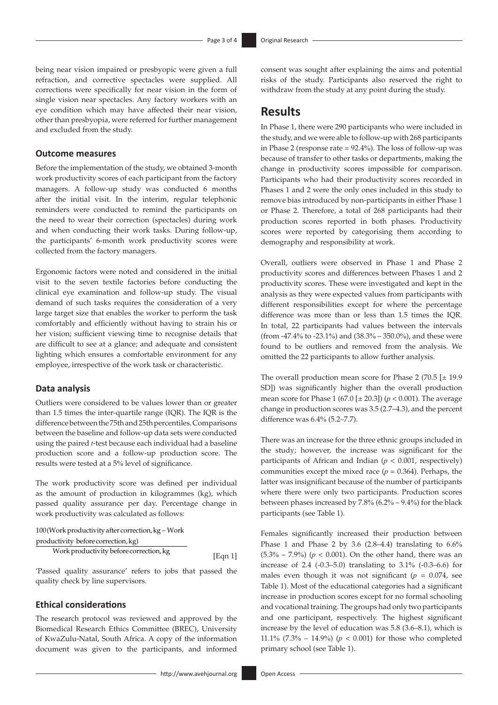being near vision impaired or presbyopic were given a full refraction, and corrective spectacles were supplied. All corrections were specifically for near vision in the form of single vision near spectacles. Any factory workers with an eye condition which may have affected their near vision, other than presbyopia, were referred for further management and excluded from the study.

#### **Outcome measures**

Before the implementation of the study, we obtained 3-month work productivity scores of each participant from the factory managers. A follow-up study was conducted 6 months after the initial visit. In the interim, regular telephonic reminders were conducted to remind the participants on the need to wear their correction (spectacles) during work and when conducting their work tasks. During follow-up, the participants' 6-month work productivity scores were collected from the factory managers.

Ergonomic factors were noted and considered in the initial visit to the seven textile factories before conducting the clinical eye examination and follow-up study. The visual demand of such tasks requires the consideration of a very large target size that enables the worker to perform the task comfortably and efficiently without having to strain his or her vision; sufficient viewing time to recognise details that are difficult to see at a glance; and adequate and consistent lighting which ensures a comfortable environment for any employee, irrespective of the work task or characteristic.

### **Data analysis**

Outliers were considered to be values lower than or greater than 1.5 times the inter-quartile range (IQR). The IQR is the difference between the 75th and 25th percentiles. Comparisons between the baseline and follow-up data sets were conducted using the paired *t*-test because each individual had a baseline production score and a follow-up production score. The results were tested at a 5% level of significance.

The work productivity score was defined per individual as the amount of production in kilogrammes (kg), which passed quality assurance per day. Percentage change in work productivity was calculated as follows:

100 (Work productivity after correction, kg - Work

productivity beforecorrection,kg)

Work productivity before correction, kg [Eqn 1]

'Passed quality assurance' refers to jobs that passed the quality check by line supervisors.

## **Ethical considerations**

The research protocol was reviewed and approved by the Biomedical Research Ethics Committee (BREC), University of KwaZulu-Natal, South Africa. A copy of the information document was given to the participants, and informed

consent was sought after explaining the aims and potential risks of the study. Participants also reserved the right to withdraw from the study at any point during the study.

## **Results**

In Phase 1, there were 290 participants who were included in the study, and we were able to follow-up with 268 participants in Phase 2 (response rate = 92.4%). The loss of follow-up was because of transfer to other tasks or departments, making the change in productivity scores impossible for comparison. Participants who had their productivity scores recorded in Phases 1 and 2 were the only ones included in this study to remove bias introduced by non-participants in either Phase 1 or Phase 2. Therefore, a total of 268 participants had their production scores reported in both phases. Productivity scores were reported by categorising them according to demography and responsibility at work.

Overall, outliers were observed in Phase 1 and Phase 2 productivity scores and differences between Phases 1 and 2 productivity scores. These were investigated and kept in the analysis as they were expected values from participants with different responsibilities except for where the percentage difference was more than or less than 1.5 times the IQR. In total, 22 participants had values between the intervals (from -47.4% to -23.1%) and (38.3% – 350.0%), and these were found to be outliers and removed from the analysis. We omitted the 22 participants to allow further analysis.

The overall production mean score for Phase 2 (70.5  $[\pm 19.9]$ SD]) was significantly higher than the overall production mean score for Phase 1 (67.0 [± 20.3]) (*p* < 0.001). The average change in production scores was 3.5 (2.7–4.3), and the percent difference was 6.4% (5.2–7.7).

There was an increase for the three ethnic groups included in the study; however, the increase was significant for the participants of African and Indian (*p* < 0.001, respectively) communities except the mixed race  $(p = 0.364)$ . Perhaps, the latter was insignificant because of the number of participants where there were only two participants. Production scores between phases increased by 7.8% (6.2% – 9.4%) for the black participants (see Table 1).

Females significantly increased their production between Phase 1 and Phase 2 by 3.6 (2.8–4.4) translating to 6.6% (5.3% – 7.9%) (*p* < 0.001). On the other hand, there was an increase of 2.4 (-0.3–5.0) translating to 3.1% (-0.3–6.6) for males even though it was not significant  $(p = 0.074, \text{ see}$ Table 1). Most of the educational categories had a significant increase in production scores except for no formal schooling and vocational training. The groups had only two participants and one participant, respectively. The highest significant increase by the level of education was 5.8 (3.6–8.1), which is 11.1%  $(7.3\% - 14.9\%)$  ( $p < 0.001$ ) for those who completed primary school (see Table 1).